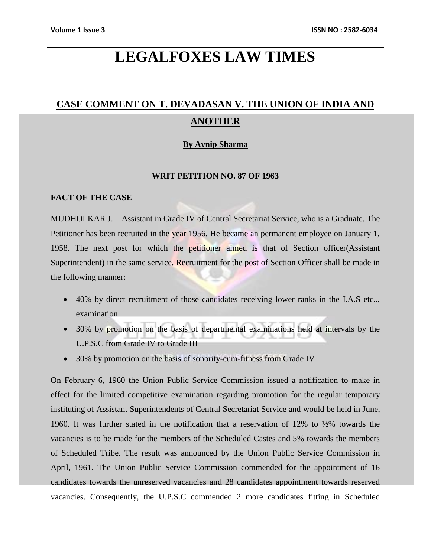# **LEGALFOXES LAW TIMES**

# **CASE COMMENT ON T. DEVADASAN V. THE UNION OF INDIA AND ANOTHER**

#### **By Avnip Sharma**

#### **WRIT PETITION NO. 87 OF 1963**

## **FACT OF THE CASE**

MUDHOLKAR J. – Assistant in Grade IV of Central Secretariat Service, who is a Graduate. The Petitioner has been recruited in the year 1956. He became an permanent employee on January 1, 1958. The next post for which the petitioner aimed is that of Section officer(Assistant Superintendent) in the same service. Recruitment for the post of Section Officer shall be made in the following manner:

- 40% by direct recruitment of those candidates receiving lower ranks in the I.A.S etc.., examination
- 30% by promotion on the basis of departmental examinations held at intervals by the U.P.S.C from Grade IV to Grade III
- 30% by promotion on the basis of sonority-cum-fitness from Grade IV

On February 6, 1960 the Union Public Service Commission issued a notification to make in effect for the limited competitive examination regarding promotion for the regular temporary instituting of Assistant Superintendents of Central Secretariat Service and would be held in June, 1960. It was further stated in the notification that a reservation of 12% to ½% towards the vacancies is to be made for the members of the Scheduled Castes and 5% towards the members of Scheduled Tribe. The result was announced by the Union Public Service Commission in April, 1961. The Union Public Service Commission commended for the appointment of 16 candidates towards the unreserved vacancies and 28 candidates appointment towards reserved vacancies. Consequently, the U.P.S.C commended 2 more candidates fitting in Scheduled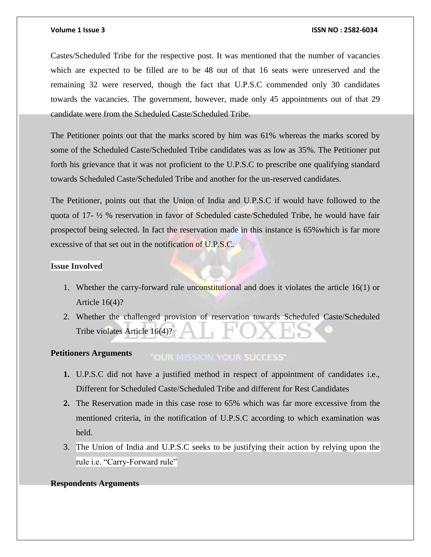#### **Volume 1 Issue 3 ISSN NO : 2582-6034**

Castes/Scheduled Tribe for the respective post. It was mentioned that the number of vacancies which are expected to be filled are to be 48 out of that 16 seats were unreserved and the remaining 32 were reserved, though the fact that U.P.S.C commended only 30 candidates towards the vacancies. The government, however, made only 45 appointments out of that 29 candidate were from the Scheduled Caste/Scheduled Tribe.

The Petitioner points out that the marks scored by him was 61% whereas the marks scored by some of the Scheduled Caste/Scheduled Tribe candidates was as low as 35%. The Petitioner put forth his grievance that it was not proficient to the U.P.S.C to prescribe one qualifying standard towards Scheduled Caste/Scheduled Tribe and another for the un-reserved candidates.

The Petitioner, points out that the Union of India and U.P.S.C if would have followed to the quota of 17- ½ % reservation in favor of Scheduled caste/Scheduled Tribe, he would have fair prospectof being selected. In fact the reservation made in this instance is 65%which is far more excessive of that set out in the notification of U.P.S.C.

#### **Issue Involved**

- 1. Whether the carry-forward rule unconstitutional and does it violates the article 16(1) or Article 16(4)?
- 2. Whether the challenged provision of reservation towards Scheduled Caste/Scheduled Tribe violates Article 16(4)?

#### **Petitioners Arguments OUR MISSION YOUR SUCCESS'**

- **1.** U.P.S.C did not have a justified method in respect of appointment of candidates i.e., Different for Scheduled Caste/Scheduled Tribe and different for Rest Candidates
- **2.** The Reservation made in this case rose to 65% which was far more excessive from the mentioned criteria, in the notification of U.P.S.C according to which examination was held.
- 3. The Union of India and U.P.S.C seeks to be justifying their action by relying upon the rule i.e. "Carry-Forward rule"

#### **Respondents Arguments**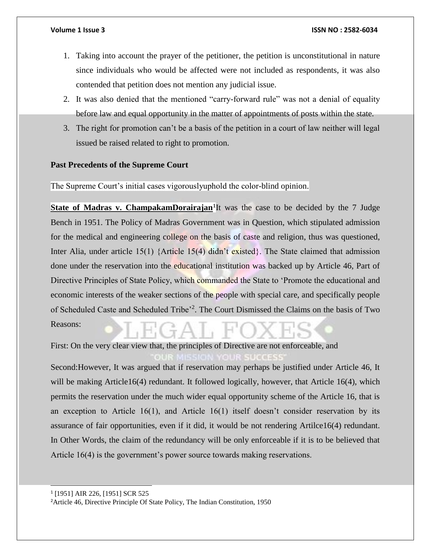- 1. Taking into account the prayer of the petitioner, the petition is unconstitutional in nature since individuals who would be affected were not included as respondents, it was also contended that petition does not mention any judicial issue.
- 2. It was also denied that the mentioned "carry-forward rule" was not a denial of equality before law and equal opportunity in the matter of appointments of posts within the state.
- 3. The right for promotion can't be a basis of the petition in a court of law neither will legal issued be raised related to right to promotion.

#### **Past Precedents of the Supreme Court**

The Supreme Court's initial cases vigorouslyuphold the color-blind opinion.

**State of Madras v. [ChampakamDorairajan](http://www.indiankanoon.org/doc/149321/)<sup>1</sup>** It was the case to be decided by the 7 Judge Bench in 1951. The Policy of Madras Government was in Question, which stipulated admission for the medical and engineering college on the basis of caste and religion, thus was questioned, Inter Alia, under article 15(1) {Article  $15(4)$  didn't existed}. The State claimed that admission done under the reservation into the educational institution was backed up by Article 46, Part of Directive Principles of State Policy, which commanded the State to 'Promote the educational and economic interests of the weaker sections of the people with special care, and specifically people of Scheduled Caste and Scheduled Tribe<sup>32</sup>. The Court Dismissed the Claims on the basis of Two Reasons:

First: On the very clear view that, the principles of Directive are not enforceable, and

Second:However, It was argued that if reservation may perhaps be justified under Article 46, It will be making Article16(4) redundant. It followed logically, however, that Article 16(4), which permits the reservation under the much wider equal opportunity scheme of the Article 16, that is an exception to Article  $16(1)$ , and Article  $16(1)$  itself doesn't consider reservation by its assurance of fair opportunities, even if it did, it would be not rendering Artilce16(4) redundant. In Other Words, the claim of the redundancy will be only enforceable if it is to be believed that Article 16(4) is the government's power source towards making reservations.

l

<sup>1</sup> [1951] AIR 226, [1951] SCR 525

<sup>&</sup>lt;sup>2</sup> Article 46, Directive Principle Of State Policy, The Indian Constitution, 1950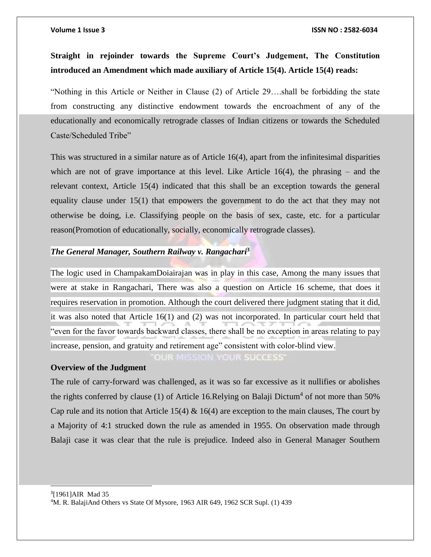## **Straight in rejoinder towards the Supreme Court's Judgement, The Constitution introduced an Amendment which made auxiliary of Article 15(4). Article 15(4) reads:**

"Nothing in this Article or Neither in Clause (2) of Article 29….shall be forbidding the state from constructing any distinctive endowment towards the encroachment of any of the educationally and economically retrograde classes of Indian citizens or towards the Scheduled Caste/Scheduled Tribe"

This was structured in a similar nature as of Article 16(4), apart from the infinitesimal disparities which are not of grave importance at this level. Like Article 16(4), the phrasing – and the relevant context, Article 15(4) indicated that this shall be an exception towards the general equality clause under 15(1) that empowers the government to do the act that they may not otherwise be doing, i.e. Classifying people on the basis of sex, caste, etc. for a particular reason(Promotion of educationally, socially, economically retrograde classes).

## *The General Manager, Southern Railway v. Rangachari***<sup>3</sup>**

The logic used in ChampakamDoiairajan was in play in this case, Among the many issues that were at stake in Rangachari, There was also a question on Article 16 scheme, that does it requires reservation in promotion. Although the court delivered there judgment stating that it did, it was also noted that Article 16(1) and (2) was not incorporated. In particular court held that "even for the favor towards backward classes, there shall be no exception in areas relating to pay increase, pension, and gratuity and retirement age" consistent with color-blind view.

OUR MISSION YOUR SUCCESS"

### **Overview of the Judgment**

 $\overline{a}$ 

The rule of carry-forward was challenged, as it was so far excessive as it nullifies or abolishes the rights conferred by clause (1) of Article 16. Relying on Balaji Dictum<sup>4</sup> of not more than 50% Cap rule and its notion that Article 15(4)  $\&$  16(4) are exception to the main clauses, The court by a Majority of 4:1 strucked down the rule as amended in 1955. On observation made through Balaji case it was clear that the rule is prejudice. Indeed also in General Manager Southern

3 [1961]AIR Mad 35 <sup>4</sup>M. R. BalajiAnd Others vs State Of Mysore, 1963 AIR 649, 1962 SCR Supl. (1) 439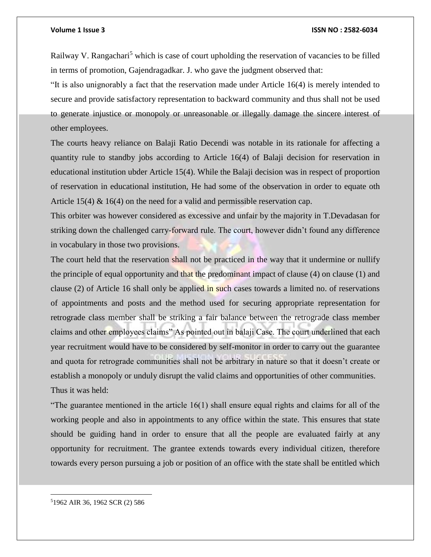#### **Volume 1 Issue 3 ISSN NO : 2582-6034**

Railway V. Rangachari<sup>5</sup> which is case of court upholding the reservation of vacancies to be filled in terms of promotion, Gajendragadkar. J. who gave the judgment observed that:

"It is also unignorably a fact that the reservation made under Article 16(4) is merely intended to secure and provide satisfactory representation to backward community and thus shall not be used to generate injustice or monopoly or unreasonable or illegally damage the sincere interest of other employees.

The courts heavy reliance on Balaji Ratio Decendi was notable in its rationale for affecting a quantity rule to standby jobs according to Article 16(4) of Balaji decision for reservation in educational institution ubder Article 15(4). While the Balaji decision was in respect of proportion of reservation in educational institution, He had some of the observation in order to equate oth Article 15(4)  $\&$  16(4) on the need for a valid and permissible reservation cap.

This orbiter was however considered as excessive and unfair by the majority in T.Devadasan for striking down the challenged carry-forward rule. The court, however didn't found any difference in vocabulary in those two provisions.

The court held that the reservation shall not be practiced in the way that it undermine or nullify the principle of equal opportunity and that the predominant impact of clause (4) on clause (1) and clause (2) of Article 16 shall only be applied in such cases towards a limited no. of reservations of appointments and posts and the method used for securing appropriate representation for retrograde class member shall be striking a fair balance between the retrograde class member claims and other employees claims" As pointed out in balaji Case. The court underlined that each year recruitment would have to be considered by self-monitor in order to carry out the guarantee and quota for retrograde communities shall not be arbitrary in nature so that it doesn't create or establish a monopoly or unduly disrupt the valid claims and opportunities of other communities. Thus it was held:

"The guarantee mentioned in the article 16(1) shall ensure equal rights and claims for all of the working people and also in appointments to any office within the state. This ensures that state should be guiding hand in order to ensure that all the people are evaluated fairly at any opportunity for recruitment. The grantee extends towards every individual citizen, therefore towards every person pursuing a job or position of an office with the state shall be entitled which

51962 AIR 36, 1962 SCR (2) 586

 $\overline{\phantom{a}}$